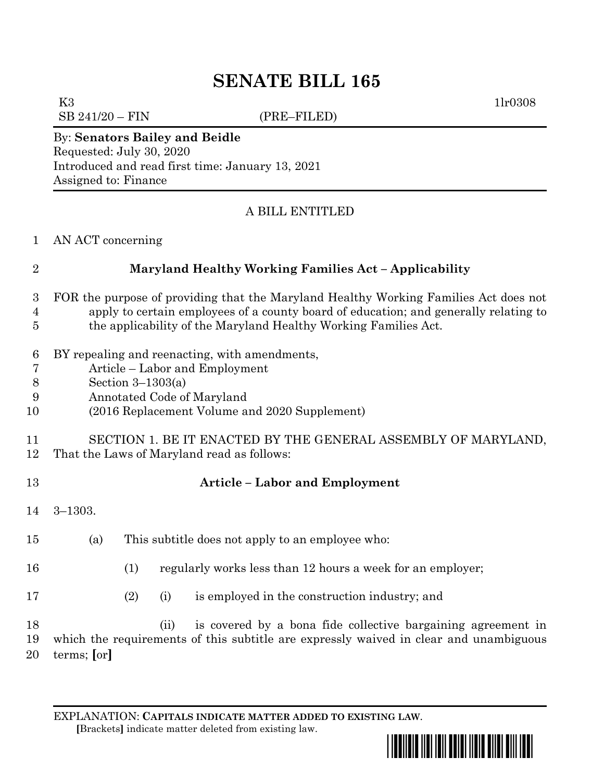## **SENATE BILL 165**

K3  $1\text{lr}0308$ 

 $SB\ 241/20 - FIN$  (PRE–FILED)

### By: **Senators Bailey and Beidle** Requested: July 30, 2020 Introduced and read first time: January 13, 2021

Assigned to: Finance

### A BILL ENTITLED

|  | AN ACT concerning |
|--|-------------------|
|  |                   |

# **Maryland Healthy Working Families Act – Applicability** FOR the purpose of providing that the Maryland Healthy Working Families Act does not apply to certain employees of a county board of education; and generally relating to the applicability of the Maryland Healthy Working Families Act. BY repealing and reenacting, with amendments, Article – Labor and Employment Section 3–1303(a) Annotated Code of Maryland (2016 Replacement Volume and 2020 Supplement) SECTION 1. BE IT ENACTED BY THE GENERAL ASSEMBLY OF MARYLAND, That the Laws of Maryland read as follows: **Article – Labor and Employment** 3–1303. (a) This subtitle does not apply to an employee who: (1) regularly works less than 12 hours a week for an employer; (2) (i) is employed in the construction industry; and (ii) is covered by a bona fide collective bargaining agreement in which the requirements of this subtitle are expressly waived in clear and unambiguous terms; **[**or**]**

EXPLANATION: **CAPITALS INDICATE MATTER ADDED TO EXISTING LAW**.  **[**Brackets**]** indicate matter deleted from existing law.